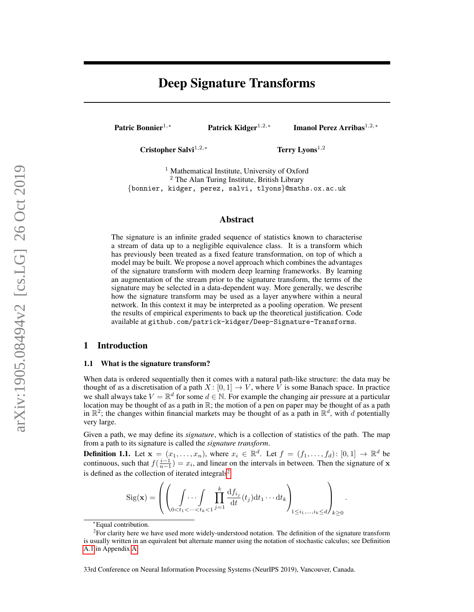# Deep Signature Transforms

Patric Bonnier<sup>1,∗</sup> Patrick Kidger<sup>1,2,∗</sup>

Imanol Perez Arribas<sup>1,2,∗</sup>

Cristopher Salvi<sup>1,2,∗</sup> Terry Lyons<sup>1,2</sup>

<sup>1</sup> Mathematical Institute, University of Oxford <sup>2</sup> The Alan Turing Institute, British Library {bonnier, kidger, perez, salvi, tlyons}@maths.ox.ac.uk

## Abstract

The signature is an infinite graded sequence of statistics known to characterise a stream of data up to a negligible equivalence class. It is a transform which has previously been treated as a fixed feature transformation, on top of which a model may be built. We propose a novel approach which combines the advantages of the signature transform with modern deep learning frameworks. By learning an augmentation of the stream prior to the signature transform, the terms of the signature may be selected in a data-dependent way. More generally, we describe how the signature transform may be used as a layer anywhere within a neural network. In this context it may be interpreted as a pooling operation. We present the results of empirical experiments to back up the theoretical justification. Code available at github.com/patrick-kidger/Deep-Signature-Transforms.

# 1 Introduction

#### 1.1 What is the signature transform?

When data is ordered sequentially then it comes with a natural path-like structure: the data may be thought of as a discretisation of a path  $X: [0, 1] \to V$ , where V is some Banach space. In practice we shall always take  $V = \mathbb{R}^d$  for some  $d \in \mathbb{N}$ . For example the changing air pressure at a particular location may be thought of as a path in  $\mathbb{R}$ ; the motion of a pen on paper may be thought of as a path in  $\mathbb{R}^2$ ; the changes within financial markets may be thought of as a path in  $\mathbb{R}^d$ , with d potentially very large.

Given a path, we may define its *signature*, which is a collection of statistics of the path. The map from a path to its signature is called the *signature transform*.

<span id="page-0-1"></span>**Definition 1.1.** Let  $\mathbf{x} = (x_1, \ldots, x_n)$ , where  $x_i \in \mathbb{R}^d$ . Let  $f = (f_1, \ldots, f_d)$ :  $[0, 1] \to \mathbb{R}^d$  be continuous, such that  $f(\frac{i-1}{n-1}) = x_i$ , and linear on the intervals in between. Then the signature of x is defined as the collection of iterated integrals<sup>[2](#page-0-0)</sup>

$$
Sig(\mathbf{x}) = \left( \left( \int_{0 < t_1 < \dots < t_k < 1} \prod_{j=1}^k \frac{\mathrm{d} f_{i_j}}{\mathrm{d} t} (t_j) \mathrm{d} t_1 \dots \mathrm{d} t_k \right)_{1 \leq i_1, \dots, i_k \leq d} \right)_{k \geq 0}.
$$

<span id="page-0-0"></span><sup>∗</sup>Equal contribution.

<sup>&</sup>lt;sup>2</sup> For clarity here we have used more widely-understood notation. The definition of the signature transform is usually written in an equivalent but alternate manner using the notation of stochastic calculus; see Definition [A.1](#page-11-0) in Appendix [A.](#page-11-1)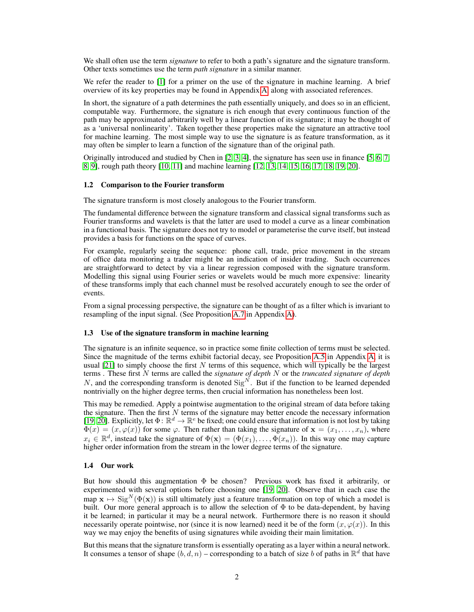We shall often use the term *signature* to refer to both a path's signature and the signature transform. Other texts sometimes use the term *path signature* in a similar manner.

We refer the reader to [\[1\]](#page-9-0) for a primer on the use of the signature in machine learning. A brief overview of its key properties may be found in Appendix [A,](#page-11-1) along with associated references.

In short, the signature of a path determines the path essentially uniquely, and does so in an efficient, computable way. Furthermore, the signature is rich enough that every continuous function of the path may be approximated arbitrarily well by a linear function of its signature; it may be thought of as a 'universal nonlinearity'. Taken together these properties make the signature an attractive tool for machine learning. The most simple way to use the signature is as feature transformation, as it may often be simpler to learn a function of the signature than of the original path.

Originally introduced and studied by Chen in [\[2,](#page-9-1) [3,](#page-9-2) [4\]](#page-9-3), the signature has seen use in finance [\[5,](#page-9-4) [6,](#page-9-5) [7,](#page-9-6) [8,](#page-9-7) [9\]](#page-9-8), rough path theory [\[10,](#page-9-9) [11\]](#page-9-10) and machine learning [\[12,](#page-9-11) [13,](#page-9-12) [14,](#page-9-13) [15,](#page-9-14) [16,](#page-9-15) [17,](#page-9-16) [18,](#page-9-17) [19,](#page-9-18) [20\]](#page-9-19).

#### 1.2 Comparison to the Fourier transform

The signature transform is most closely analogous to the Fourier transform.

The fundamental difference between the signature transform and classical signal transforms such as Fourier transforms and wavelets is that the latter are used to model a curve as a linear combination in a functional basis. The signature does not try to model or parameterise the curve itself, but instead provides a basis for functions on the space of curves.

For example, regularly seeing the sequence: phone call, trade, price movement in the stream of office data monitoring a trader might be an indication of insider trading. Such occurrences are straightforward to detect by via a linear regression composed with the signature transform. Modelling this signal using Fourier series or wavelets would be much more expensive: linearity of these transforms imply that each channel must be resolved accurately enough to see the order of events.

From a signal processing perspective, the signature can be thought of as a filter which is invariant to resampling of the input signal. (See Proposition [A.7](#page-12-0) in Appendix [A\)](#page-11-1).

#### 1.3 Use of the signature transform in machine learning

The signature is an infinite sequence, so in practice some finite collection of terms must be selected. Since the magnitude of the terms exhibit factorial decay, see Proposition [A.5](#page-12-1) in Appendix [A,](#page-11-1) it is usual  $[21]$  to simply choose the first N terms of this sequence, which will typically be the largest terms . These first N terms are called the *signature of depth* N or the *truncated signature of depth*  $N$ , and the corresponding transform is denoted  $\text{Sig}^N$ . But if the function to be learned depended nontrivially on the higher degree terms, then crucial information has nonetheless been lost.

This may be remedied. Apply a pointwise augmentation to the original stream of data before taking the signature. Then the first  $N$  terms of the signature may better encode the necessary information [\[19,](#page-9-18) [20\]](#page-9-19). Explicitly, let  $\Phi \colon \mathbb{R}^d \to \mathbb{R}^e$  be fixed; one could ensure that information is not lost by taking  $\Phi(x) = (x, \varphi(x))$  for some  $\varphi$ . Then rather than taking the signature of  $\mathbf{x} = (x_1, \dots, x_n)$ , where  $x_i \in \mathbb{R}^d$ , instead take the signature of  $\Phi(\mathbf{x}) = (\Phi(x_1), \dots, \Phi(x_n))$ . In this way one may capture higher order information from the stream in the lower degree terms of the signature.

### 1.4 Our work

But how should this augmentation  $\Phi$  be chosen? Previous work has fixed it arbitrarily, or experimented with several options before choosing one [\[19,](#page-9-18) [20\]](#page-9-19). Observe that in each case the map  $\mathbf{x} \mapsto \text{Sig}^N(\Phi(\mathbf{x}))$  is still ultimately just a feature transformation on top of which a model is built. Our more general approach is to allow the selection of  $\Phi$  to be data-dependent, by having it be learned; in particular it may be a neural network. Furthermore there is no reason it should necessarily operate pointwise, nor (since it is now learned) need it be of the form  $(x, \varphi(x))$ . In this way we may enjoy the benefits of using signatures while avoiding their main limitation.

But this means that the signature transform is essentially operating as a layer within a neural network. It consumes a tensor of shape  $(b, d, n)$  – corresponding to a batch of size b of paths in  $\mathbb{R}^d$  that have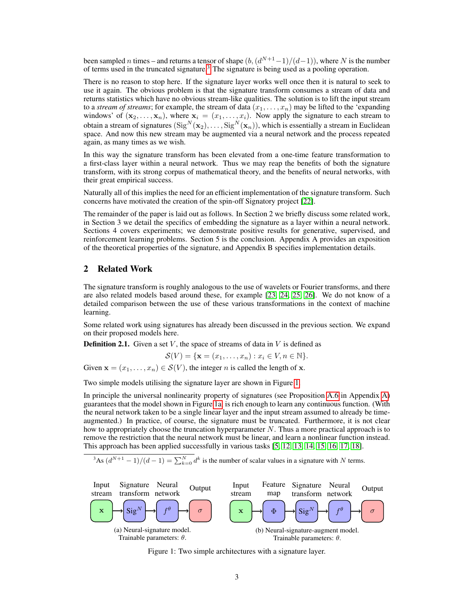been sampled *n* times – and returns a tensor of shape  $(b, (d^{N+1}-1)/(d-1))$ , where N is the number of terms used in the truncated signature.[3](#page-2-0) The signature is being used as a pooling operation.

There is no reason to stop here. If the signature layer works well once then it is natural to seek to use it again. The obvious problem is that the signature transform consumes a stream of data and returns statistics which have no obvious stream-like qualities. The solution is to lift the input stream to a *stream of streams*; for example, the stream of data  $(x_1, \ldots, x_n)$  may be lifted to the 'expanding' windows' of  $(x_2, \ldots, x_n)$ , where  $x_i = (x_1, \ldots, x_i)$ . Now apply the signature to each stream to obtain a stream of signatures  $(\mathrm{Sig}^N(\mathbf{x}_2),\dots,\mathrm{Sig}^N(\mathbf{x}_n)),$  which is essentially a stream in Euclidean space. And now this new stream may be augmented via a neural network and the process repeated again, as many times as we wish.

In this way the signature transform has been elevated from a one-time feature transformation to a first-class layer within a neural network. Thus we may reap the benefits of both the signature transform, with its strong corpus of mathematical theory, and the benefits of neural networks, with their great empirical success.

Naturally all of this implies the need for an efficient implementation of the signature transform. Such concerns have motivated the creation of the spin-off Signatory project [\[22\]](#page-10-0).

The remainder of the paper is laid out as follows. In Section 2 we briefly discuss some related work, in Section 3 we detail the specifics of embedding the signature as a layer within a neural network. Sections 4 covers experiments; we demonstrate positive results for generative, supervised, and reinforcement learning problems. Section 5 is the conclusion. Appendix A provides an exposition of the theoretical properties of the signature, and Appendix B specifies implementation details.

# 2 Related Work

The signature transform is roughly analogous to the use of wavelets or Fourier transforms, and there are also related models based around these, for example [\[23,](#page-10-1) [24,](#page-10-2) [25,](#page-10-3) [26\]](#page-10-4). We do not know of a detailed comparison between the use of these various transformations in the context of machine learning.

Some related work using signatures has already been discussed in the previous section. We expand on their proposed models here.

**Definition 2.1.** Given a set V, the space of streams of data in V is defined as

$$
\mathcal{S}(V) = \{ \mathbf{x} = (x_1, \dots, x_n) : x_i \in V, n \in \mathbb{N} \}.
$$

Given  $\mathbf{x} = (x_1, \dots, x_n) \in \mathcal{S}(V)$ , the integer *n* is called the length of **x**.

Two simple models utilising the signature layer are shown in Figure [1.](#page-2-1)

In principle the universal nonlinearity property of signatures (see Proposition [A.6](#page-12-2) in Appendix [A\)](#page-11-1) guarantees that the model shown in Figure [1a,](#page-2-1) is rich enough to learn any continuous function. (With the neural network taken to be a single linear layer and the input stream assumed to already be timeaugmented.) In practice, of course, the signature must be truncated. Furthermore, it is not clear how to appropriately choose the truncation hyperparameter  $N$ . Thus a more practical approach is to remove the restriction that the neural network must be linear, and learn a nonlinear function instead. This approach has been applied successfully in various tasks [\[5,](#page-9-4) [12,](#page-9-11) [13,](#page-9-12) [14,](#page-9-13) [15,](#page-9-14) [16,](#page-9-15) [17,](#page-9-16) [18\]](#page-9-17).

<span id="page-2-0"></span><sup>3</sup>As  $(d^{N+1} - 1)/(d - 1) = \sum_{k=0}^{N} d^k$  is the number of scalar values in a signature with N terms.

<span id="page-2-1"></span>

Figure 1: Two simple architectures with a signature layer.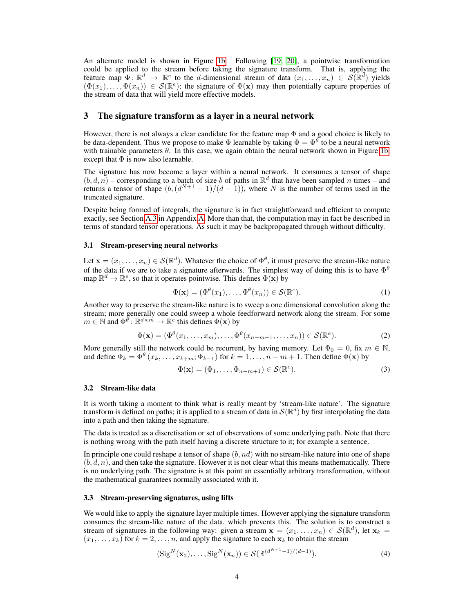An alternate model is shown in Figure [1b.](#page-2-1) Following [\[19,](#page-9-18) [20\]](#page-9-19), a pointwise transformation could be applied to the stream before taking the signature transform. That is, applying the feature map  $\Phi \colon \mathbb{R}^d \to \mathbb{R}^e$  to the d-dimensional stream of data  $(x_1, \ldots, x_n) \in S(\mathbb{R}^d)$  yields  $(\Phi(x_1), \ldots, \Phi(x_n)) \in \mathcal{S}(\mathbb{R}^e)$ ; the signature of  $\Phi(\mathbf{x})$  may then potentially capture properties of the stream of data that will yield more effective models.

## 3 The signature transform as a layer in a neural network

However, there is not always a clear candidate for the feature map Φ and a good choice is likely to be data-dependent. Thus we propose to make  $\Phi$  learnable by taking  $\Phi = \Phi^{\theta}$  to be a neural network with trainable parameters  $\theta$ . In this case, we again obtain the neural network shown in Figure [1b,](#page-2-1) except that  $\Phi$  is now also learnable.

The signature has now become a layer within a neural network. It consumes a tensor of shape  $(b, d, n)$  – corresponding to a batch of size b of paths in  $\mathbb{R}^d$  that have been sampled n times – and returns a tensor of shape  $(b, (d^{N+1} - 1)/(d - 1))$ , where N is the number of terms used in the truncated signature.

Despite being formed of integrals, the signature is in fact straightforward and efficient to compute exactly, see Section [A.3](#page-13-0) in Appendix [A.](#page-11-1) More than that, the computation may in fact be described in terms of standard tensor operations. As such it may be backpropagated through without difficulty.

#### 3.1 Stream-preserving neural networks

Let  $\mathbf{x} = (x_1, \dots, x_n) \in \mathcal{S}(\mathbb{R}^d)$ . Whatever the choice of  $\Phi^{\theta}$ , it must preserve the stream-like nature of the data if we are to take a signature afterwards. The simplest way of doing this is to have  $\Phi^{\theta}$ map  $\mathbb{R}^d \to \mathbb{R}^e$ , so that it operates pointwise. This defines  $\Phi(\mathbf{x})$  by

<span id="page-3-1"></span>
$$
\Phi(\mathbf{x}) = (\Phi^{\theta}(x_1), \dots, \Phi^{\theta}(x_n)) \in \mathcal{S}(\mathbb{R}^e).
$$
\n(1)

Another way to preserve the stream-like nature is to sweep a one dimensional convolution along the stream; more generally one could sweep a whole feedforward network along the stream. For some  $m \in \mathbb{N}$  and  $\Phi^{\overline{\theta}}$ :  $\mathbb{R}^{d \times m} \to \mathbb{R}^e$  this defines  $\Phi(\mathbf{x})$  by

$$
\Phi(\mathbf{x}) = (\Phi^{\theta}(x_1, \dots, x_m), \dots, \Phi^{\theta}(x_{n-m+1}, \dots, x_n)) \in \mathcal{S}(\mathbb{R}^e).
$$
 (2)

More generally still the network could be recurrent, by having memory. Let  $\Phi_0 = 0$ , fix  $m \in \mathbb{N}$ , and define  $\Phi_k = \Phi^{\theta}(x_k, \dots, x_{k+m}; \Phi_{k-1})$  for  $k = 1, \dots, n-m+1$ . Then define  $\Phi(\mathbf{x})$  by

<span id="page-3-2"></span>
$$
\Phi(\mathbf{x}) = (\Phi_1, \dots, \Phi_{n-m+1}) \in \mathcal{S}(\mathbb{R}^e).
$$
\n(3)

### 3.2 Stream-like data

It is worth taking a moment to think what is really meant by 'stream-like nature'. The signature transform is defined on paths; it is applied to a stream of data in  $\mathcal{S}(\mathbb{R}^d)$  by first interpolating the data into a path and then taking the signature.

The data is treated as a discretisation or set of observations of some underlying path. Note that there is nothing wrong with the path itself having a discrete structure to it; for example a sentence.

In principle one could reshape a tensor of shape  $(b, nd)$  with no stream-like nature into one of shape  $(b, d, n)$ , and then take the signature. However it is not clear what this means mathematically. There is no underlying path. The signature is at this point an essentially arbitrary transformation, without the mathematical guarantees normally associated with it.

#### 3.3 Stream-preserving signatures, using lifts

We would like to apply the signature layer multiple times. However applying the signature transform consumes the stream-like nature of the data, which prevents this. The solution is to construct a stream of signatures in the following way: given a stream  $\mathbf{x} = (x_1, \dots, x_n) \in \mathcal{S}(\mathbb{R}^d)$ , let  $\mathbf{x}_k =$  $(x_1, \ldots, x_k)$  for  $k = 2, \ldots, n$ , and apply the signature to each  $x_k$  to obtain the stream

<span id="page-3-0"></span>
$$
(\operatorname{Sig}^N(\mathbf{x}_2),\ldots,\operatorname{Sig}^N(\mathbf{x}_n)) \in \mathcal{S}(\mathbb{R}^{(d^{N+1}-1)/(d-1)}).
$$
 (4)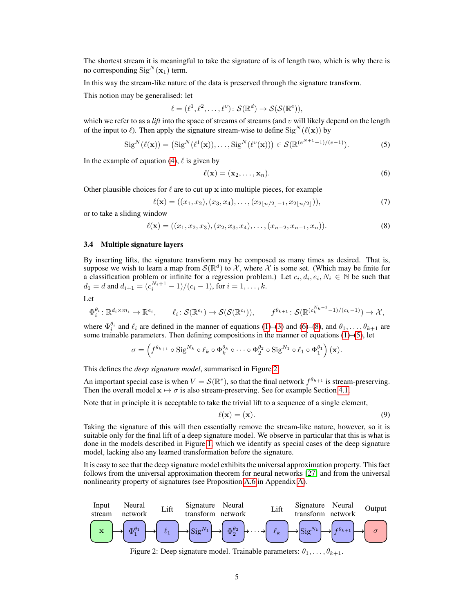The shortest stream it is meaningful to take the signature of is of length two, which is why there is no corresponding  $\text{Sig}^N(\mathbf{x}_1)$  term.

In this way the stream-like nature of the data is preserved through the signature transform.

This notion may be generalised: let

$$
\ell = (\ell^1, \ell^2, \dots, \ell^v) \colon \mathcal{S}(\mathbb{R}^d) \to \mathcal{S}(\mathcal{S}(\mathbb{R}^e)),
$$

which we refer to as a *lift* into the space of streams of streams (and  $v$  will likely depend on the length of the input to  $\ell$ ). Then apply the signature stream-wise to define  $\text{Sig}^N(\ell(\mathbf{x}))$  by

$$
\operatorname{Sig}^N(\ell(\mathbf{x})) = (\operatorname{Sig}^N(\ell^1(\mathbf{x})), \dots, \operatorname{Sig}^N(\ell^v(\mathbf{x}))) \in \mathcal{S}(\mathbb{R}^{(e^{N+1}-1)/(e-1)}).
$$
 (5)

In the example of equation [\(4\)](#page-3-0),  $\ell$  is given by

<span id="page-4-2"></span><span id="page-4-0"></span>
$$
\ell(\mathbf{x}) = (\mathbf{x}_2, \dots, \mathbf{x}_n). \tag{6}
$$

Other plausible choices for  $\ell$  are to cut up x into multiple pieces, for example

<span id="page-4-1"></span>
$$
\ell(\mathbf{x}) = ((x_1, x_2), (x_3, x_4), \dots, (x_{2\lfloor n/2 \rfloor - 1}, x_{2\lfloor n/2 \rfloor})),
$$
\n(7)

or to take a sliding window

$$
\ell(\mathbf{x}) = ((x_1, x_2, x_3), (x_2, x_3, x_4), \dots, (x_{n-2}, x_{n-1}, x_n)).
$$
\n(8)

## 3.4 Multiple signature layers

By inserting lifts, the signature transform may be composed as many times as desired. That is, suppose we wish to learn a map from  $\mathcal{S}(\mathbb{R}^d)$  to X, where X is some set. (Which may be finite for a classification problem or infinite for a regression problem.) Let  $c_i, d_i, e_i, N_i \in \mathbb{N}$  be such that  $d_1 = d$  and  $d_{i+1} = (c_i^{N_i+1} - 1)/(c_i - 1)$ , for  $i = 1, ..., k$ .

Let

$$
\Phi_i^{\theta_i} \colon \mathbb{R}^{d_i \times m_i} \to \mathbb{R}^{e_i}, \qquad \ell_i \colon \mathcal{S}(\mathbb{R}^{e_i}) \to \mathcal{S}(\mathcal{S}(\mathbb{R}^{c_i})), \qquad f^{\theta_{k+1}} \colon \mathcal{S}(\mathbb{R}^{(c_k^{N_k+1}-1)/(c_k-1)}) \to \mathcal{X},
$$

where  $\Phi_i^{\theta_i}$  and  $\ell_i$  are defined in the manner of equations [\(1\)](#page-3-1)–[\(3\)](#page-3-2) and [\(6\)](#page-4-0)–[\(8\)](#page-4-1), and  $\theta_1, \ldots, \theta_{k+1}$  are some trainable parameters. Then defining compositions in the manner of equations  $(1)$ – $(5)$ , let

$$
\sigma = \left(f^{\theta_{k+1}} \circ \operatorname{Sig}^{N_k} \circ \ell_k \circ \Phi_k^{\theta_k} \circ \cdots \circ \Phi_2^{\theta_2} \circ \operatorname{Sig}^{N_1} \circ \ell_1 \circ \Phi_1^{\theta_1}\right)(\mathbf{x}).
$$

This defines the *deep signature model*, summarised in Figure [2.](#page-4-3)

An important special case is when  $V = \mathcal{S}(\mathbb{R}^e)$ , so that the final network  $f^{\theta_{k+1}}$  is stream-preserving. Then the overall model  $x \mapsto \sigma$  is also stream-preserving. See for example Section [4.1.](#page-5-0)

Note that in principle it is acceptable to take the trivial lift to a sequence of a single element,

<span id="page-4-4"></span>
$$
\ell(\mathbf{x}) = (\mathbf{x}).\tag{9}
$$

Taking the signature of this will then essentially remove the stream-like nature, however, so it is suitable only for the final lift of a deep signature model. We observe in particular that this is what is done in the models described in Figure [1,](#page-2-1) which we identify as special cases of the deep signature model, lacking also any learned transformation before the signature.

It is easy to see that the deep signature model exhibits the universal approximation property. This fact follows from the universal approximation theorem for neural networks [\[27\]](#page-10-5) and from the universal nonlinearity property of signatures (see Proposition [A.6](#page-12-2) in Appendix [A\)](#page-11-1).

<span id="page-4-3"></span>

Figure 2: Deep signature model. Trainable parameters:  $\theta_1, \ldots, \theta_{k+1}$ .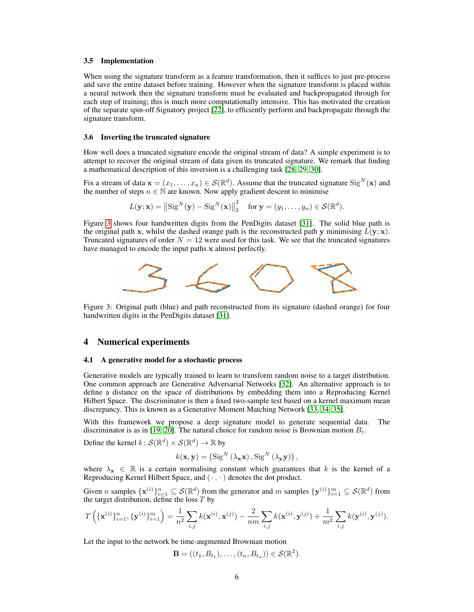#### 3.5 Implementation

When using the signature transform as a feature transformation, then it suffices to just pre-process and save the entire dataset before training. However when the signature transform is placed within a neural network then the signature transform must be evaluated and backpropagated through for each step of training; this is much more computationally intensive. This has motivated the creation of the separate spin-off Signatory project [\[22\]](#page-10-0), to efficiently perform and backpropagate through the signature transform.

#### 3.6 Inverting the truncated signature

How well does a truncated signature encode the original stream of data? A simple experiment is to attempt to recover the original stream of data given its truncated signature. We remark that finding a mathematical description of this inversion is a challenging task [\[28,](#page-10-6) [29,](#page-10-7) [30\]](#page-10-8).

Fix a stream of data  $\mathbf{x} = (x_1, \dots, x_n) \in \mathcal{S}(\mathbb{R}^d)$ . Assume that the truncated signature  $\text{Sig}^N(\mathbf{x})$  and the number of steps  $n \in \mathbb{N}$  are known. Now apply gradient descent to minimise

$$
L(\mathbf{y}; \mathbf{x}) = ||\text{Sig}^{N}(\mathbf{y}) - \text{Sig}^{N}(\mathbf{x})||_{2}^{2} \quad \text{for } \mathbf{y} = (y_{1}, \dots, y_{n}) \in \mathcal{S}(\mathbb{R}^{d}).
$$

Figure [3](#page-5-1) shows four handwritten digits from the PenDigits dataset [\[31\]](#page-10-9). The solid blue path is the original path x, whilst the dashed orange path is the reconstructed path y minimising  $\overline{L}(\mathbf{y}; \mathbf{x})$ . Truncated signatures of order  $N = 12$  were used for this task. We see that the truncated signatures have managed to encode the input paths x almost perfectly.

<span id="page-5-1"></span>

Figure 3: Original path (blue) and path reconstructed from its signature (dashed orange) for four handwritten digits in the PenDigits dataset [\[31\]](#page-10-9).

## 4 Numerical experiments

### <span id="page-5-0"></span>4.1 A generative model for a stochastic process

Generative models are typically trained to learn to transform random noise to a target distribution. One common approach are Generative Adversarial Networks [\[32\]](#page-10-10). An alternative approach is to define a distance on the space of distributions by embedding them into a Reproducing Kernel Hilbert Space. The discriminator is then a fixed two-sample test based on a kernel maximum mean discrepancy. This is known as a Generative Moment Matching Network [\[33,](#page-10-11) [34,](#page-10-12) [35\]](#page-10-13).

With this framework we propose a deep signature model to generate sequential data. The discriminator is as in [\[19,](#page-9-18) [20\]](#page-9-19). The natural choice for random noise is Brownian motion  $B_t$ .

Define the kernel  $k: \mathcal{S}(\mathbb{R}^d) \times \mathcal{S}(\mathbb{R}^d) \to \mathbb{R}$  by

$$
k(\mathbf{x}, \mathbf{y}) = (\operatorname{Sig}^{N}(\lambda_{\mathbf{x}} \mathbf{x}), \operatorname{Sig}^{N}(\lambda_{\mathbf{y}} \mathbf{y}))
$$

where  $\lambda_x \in \mathbb{R}$  is a certain normalising constant which guarantees that k is the kernel of a Reproducing Kernel Hilbert Space, and  $(\cdot, \cdot)$  denotes the dot product.

Given n samples  $\{\mathbf{x}^{(i)}\}_{i=1}^n \subseteq \mathcal{S}(\mathbb{R}^d)$  from the generator and m samples  $\{\mathbf{y}^{(i)}\}_{i=1}^m \subseteq \mathcal{S}(\mathbb{R}^d)$  from the target distribution, define the loss  $T$  by

$$
T\left(\{\mathbf{x}^{(i)}\}_{i=1}^n, \{\mathbf{y}^{(i)}\}_{i=1}^m\right) = \frac{1}{n^2} \sum_{i,j} k(\mathbf{x}^{(i)}, \mathbf{x}^{(j)}) - \frac{2}{nm} \sum_{i,j} k(\mathbf{x}^{(i)}, \mathbf{y}^{(j)}) + \frac{1}{m^2} \sum_{i,j} k(\mathbf{y}^{(i)}, \mathbf{y}^{(j)}).
$$

Let the input to the network be time-augmented Brownian motion

$$
\mathbf{B} = ((t_1, B_{t_1}), \dots, (t_n, B_{t_n})) \in \mathcal{S}(\mathbb{R}^2).
$$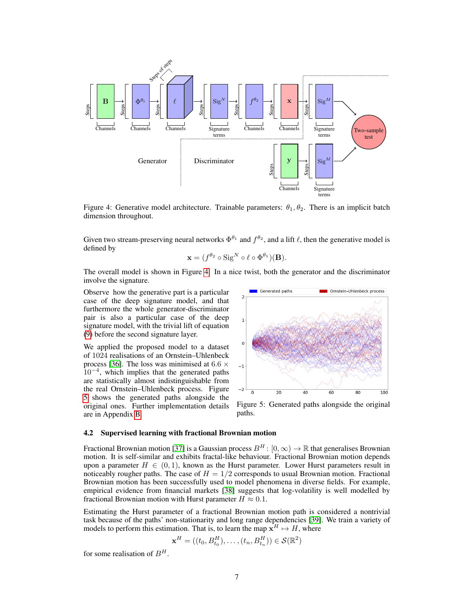<span id="page-6-0"></span>

Figure 4: Generative model architecture. Trainable parameters:  $\theta_1, \theta_2$ . There is an implicit batch dimension throughout.

Given two stream-preserving neural networks  $\Phi^{\theta_1}$  and  $f^{\theta_2}$ , and a lift  $\ell$ , then the generative model is defined by

$$
\mathbf{x} = (f^{\theta_2} \circ \text{Sig}^N \circ \ell \circ \Phi^{\theta_1})(\mathbf{B}).
$$

The overall model is shown in Figure [4.](#page-6-0) In a nice twist, both the generator and the discriminator involve the signature.

Observe how the generative part is a particular case of the deep signature model, and that furthermore the whole generator-discriminator pair is also a particular case of the deep signature model, with the trivial lift of equation [\(9\)](#page-4-4) before the second signature layer.

We applied the proposed model to a dataset of 1024 realisations of an Ornstein–Uhlenbeck process [\[36\]](#page-10-14). The loss was minimised at 6.6  $\times$  $10^{-4}$ , which implies that the generated paths are statistically almost indistinguishable from the real Ornstein–Uhlenbeck process. Figure [5](#page-6-1) shows the generated paths alongside the original ones. Further implementation details are in Appendix [B.](#page-14-0)

<span id="page-6-1"></span>

Figure 5: Generated paths alongside the original paths.

## 4.2 Supervised learning with fractional Brownian motion

Fractional Brownian motion [\[37\]](#page-10-15) is a Gaussian process  $B<sup>H</sup>$ :  $[0, \infty) \to \mathbb{R}$  that generalises Brownian motion. It is self-similar and exhibits fractal-like behaviour. Fractional Brownian motion depends upon a parameter  $H \in (0, 1)$ , known as the Hurst parameter. Lower Hurst parameters result in noticeably rougher paths. The case of  $H = 1/2$  corresponds to usual Brownian motion. Fractional Brownian motion has been successfully used to model phenomena in diverse fields. For example, empirical evidence from financial markets [\[38\]](#page-10-16) suggests that log-volatility is well modelled by fractional Brownian motion with Hurst parameter  $H \approx 0.1$ .

Estimating the Hurst parameter of a fractional Brownian motion path is considered a nontrivial task because of the paths' non-stationarity and long range dependencies [\[39\]](#page-10-17). We train a variety of models to perform this estimation. That is, to learn the map  $\mathbf{x}^H \mapsto H$ , where

$$
\mathbf{x}^{H} = ((t_0, B_{t_0}^{H}), \dots, (t_n, B_{t_n}^{H})) \in \mathcal{S}(\mathbb{R}^{2})
$$

for some realisation of  $B<sup>H</sup>$ .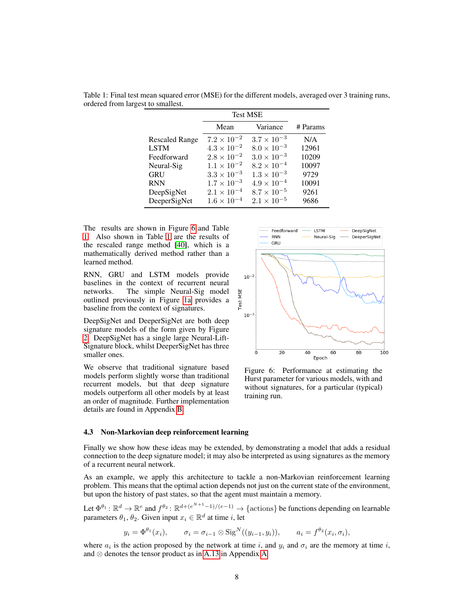|                       | <b>Test MSE</b>      |                      |          |
|-----------------------|----------------------|----------------------|----------|
|                       | Mean                 | Variance             | # Params |
| <b>Rescaled Range</b> | $7.2 \times 10^{-2}$ | $3.7 \times 10^{-3}$ | N/A      |
| <b>LSTM</b>           | $4.3 \times 10^{-2}$ | $8.0 \times 10^{-3}$ | 12961    |
| Feedforward           | $2.8 \times 10^{-2}$ | $3.0 \times 10^{-3}$ | 10209    |
| Neural-Sig            | $1.1 \times 10^{-2}$ | $8.2 \times 10^{-4}$ | 10097    |
| <b>GRU</b>            | $3.3 \times 10^{-3}$ | $1.3 \times 10^{-3}$ | 9729     |
| <b>RNN</b>            | $1.7 \times 10^{-3}$ | $4.9 \times 10^{-4}$ | 10091    |
| DeepSigNet            | $2.1 \times 10^{-4}$ | $8.7 \times 10^{-5}$ | 9261     |
| DeeperSigNet          | $1.6 \times 10^{-4}$ | $2.1 \times 10^{-5}$ | 9686     |

<span id="page-7-1"></span>Table 1: Final test mean squared error (MSE) for the different models, averaged over 3 training runs, ordered from largest to smallest.

The results are shown in Figure [6](#page-7-0) and Table [1.](#page-7-1) Also shown in Table [1](#page-7-1) are the results of the rescaled range method [\[40\]](#page-10-18), which is a mathematically derived method rather than a learned method.

RNN, GRU and LSTM models provide baselines in the context of recurrent neural networks. The simple Neural-Sig model outlined previously in Figure [1a](#page-2-1) provides a baseline from the context of signatures.

DeepSigNet and DeeperSigNet are both deep signature models of the form given by Figure [2.](#page-4-3) DeepSigNet has a single large Neural-Lift-Signature block, whilst DeeperSigNet has three smaller ones.

We observe that traditional signature based models perform slightly worse than traditional recurrent models, but that deep signature models outperform all other models by at least an order of magnitude. Further implementation details are found in Appendix [B.](#page-14-0)

<span id="page-7-0"></span>

Figure 6: Performance at estimating the Hurst parameter for various models, with and without signatures, for a particular (typical) training run.

#### <span id="page-7-2"></span>4.3 Non-Markovian deep reinforcement learning

Finally we show how these ideas may be extended, by demonstrating a model that adds a residual connection to the deep signature model; it may also be interpreted as using signatures as the memory of a recurrent neural network.

As an example, we apply this architecture to tackle a non-Markovian reinforcement learning problem. This means that the optimal action depends not just on the current state of the environment, but upon the history of past states, so that the agent must maintain a memory.

Let  $\Phi^{\theta_1} \colon \mathbb{R}^d \to \mathbb{R}^e$  and  $f^{\theta_2} \colon \mathbb{R}^{d + (e^{N+1}-1)/(e-1)} \to \{\text{actions}\}\$ be functions depending on learnable parameters  $\theta_1$ ,  $\theta_2$ . Given input  $x_i \in \mathbb{R}^d$  at time i, let

$$
y_i = \Phi^{\theta_1}(x_i), \qquad \sigma_i = \sigma_{i-1} \otimes \text{Sig}^N((y_{i-1}, y_i)), \qquad a_i = f^{\theta_2}(x_i, \sigma_i),
$$

where  $a_i$  is the action proposed by the network at time i, and  $y_i$  and  $\sigma_i$  are the memory at time i, and ⊗ denotes the tensor product as in [A.13](#page-13-1) in Appendix [A.](#page-11-1)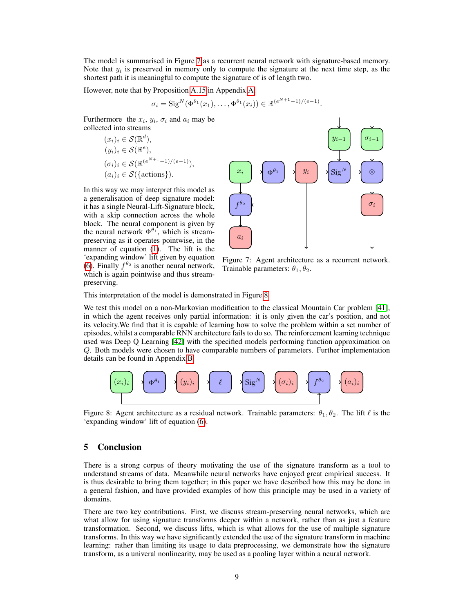The model is summarised in Figure [7](#page-8-0) as a recurrent neural network with signature-based memory. Note that  $y_i$  is preserved in memory only to compute the signature at the next time step, as the shortest path it is meaningful to compute the signature of is of length two.

However, note that by Proposition [A.15](#page-13-2) in Appendix [A,](#page-11-1)

$$
\sigma_i = \text{Sig}^N(\Phi^{\theta_1}(x_1), \dots, \Phi^{\theta_1}(x_i)) \in \mathbb{R}^{(e^{N+1}-1)/(e-1)}.
$$

Furthermore the  $x_i$ ,  $y_i$ ,  $\sigma_i$  and  $a_i$  may be collected into streams

$$
(x_i)_i \in \mathcal{S}(\mathbb{R}^d),
$$
  
\n
$$
(y_i)_i \in \mathcal{S}(\mathbb{R}^e),
$$
  
\n
$$
(\sigma_i)_i \in \mathcal{S}(\mathbb{R}^{(e^{N+1}-1)/(e-1)}),
$$
  
\n
$$
(a_i)_i \in \mathcal{S}(\{\text{actions}\}).
$$

In this way we may interpret this model as a generalisation of deep signature model: it has a single Neural-Lift-Signature block, with a skip connection across the whole block. The neural component is given by the neural network  $\Phi^{\theta_1}$ , which is streampreserving as it operates pointwise, in the manner of equation [\(1\)](#page-3-1). The lift is the 'expanding window' lift given by equation [\(6\)](#page-4-0). Finally  $f^{\theta_2}$  is another neural network, which is again pointwise and thus streampreserving.

<span id="page-8-0"></span>

Figure 7: Agent architecture as a recurrent network. Trainable parameters:  $\theta_1, \theta_2$ .

This interpretation of the model is demonstrated in Figure [8.](#page-8-1)

We test this model on a non-Markovian modification to the classical Mountain Car problem [\[41\]](#page-10-19), in which the agent receives only partial information: it is only given the car's position, and not its velocity.We find that it is capable of learning how to solve the problem within a set number of episodes, whilst a comparable RNN architecture fails to do so. The reinforcement learning technique used was Deep Q Learning [\[42\]](#page-10-20) with the specified models performing function approximation on Q. Both models were chosen to have comparable numbers of parameters. Further implementation details can be found in Appendix [B.](#page-14-0)

<span id="page-8-1"></span>

Figure 8: Agent architecture as a residual network. Trainable parameters:  $\theta_1, \theta_2$ . The lift  $\ell$  is the 'expanding window' lift of equation [\(6\)](#page-4-0).

# 5 Conclusion

There is a strong corpus of theory motivating the use of the signature transform as a tool to understand streams of data. Meanwhile neural networks have enjoyed great empirical success. It is thus desirable to bring them together; in this paper we have described how this may be done in a general fashion, and have provided examples of how this principle may be used in a variety of domains.

There are two key contributions. First, we discuss stream-preserving neural networks, which are what allow for using signature transforms deeper within a network, rather than as just a feature transformation. Second, we discuss lifts, which is what allows for the use of multiple signature transforms. In this way we have significantly extended the use of the signature transform in machine learning: rather than limiting its usage to data preprocessing, we demonstrate how the signature transform, as a univeral nonlinearity, may be used as a pooling layer within a neural network.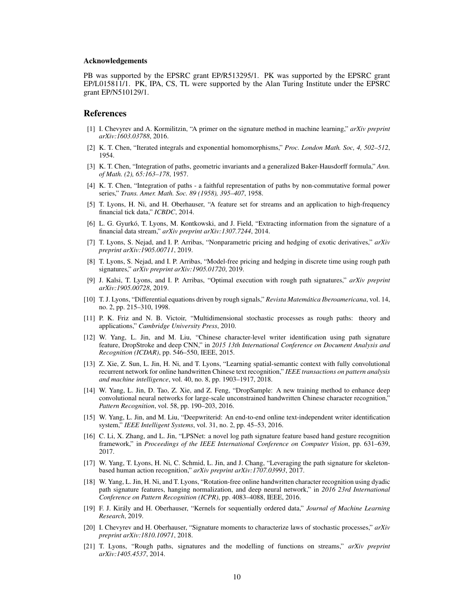#### Acknowledgements

PB was supported by the EPSRC grant EP/R513295/1. PK was supported by the EPSRC grant EP/L015811/1. PK, IPA, CS, TL were supported by the Alan Turing Institute under the EPSRC grant EP/N510129/1.

## References

- <span id="page-9-0"></span>[1] I. Chevyrev and A. Kormilitzin, "A primer on the signature method in machine learning," *arXiv preprint arXiv:1603.03788*, 2016.
- <span id="page-9-1"></span>[2] K. T. Chen, "Iterated integrals and exponential homomorphisms," *Proc. London Math. Soc, 4, 502–512*, 1954.
- <span id="page-9-2"></span>[3] K. T. Chen, "Integration of paths, geometric invariants and a generalized Baker-Hausdorff formula," *Ann. of Math. (2), 65:163–178*, 1957.
- <span id="page-9-3"></span>[4] K. T. Chen, "Integration of paths - a faithful representation of paths by non-commutative formal power series," *Trans. Amer. Math. Soc. 89 (1958), 395–407*, 1958.
- <span id="page-9-4"></span>[5] T. Lyons, H. Ni, and H. Oberhauser, "A feature set for streams and an application to high-frequency financial tick data," *ICBDC*, 2014.
- <span id="page-9-5"></span>[6] L. G. Gyurkó, T. Lyons, M. Kontkowski, and J. Field, "Extracting information from the signature of a financial data stream," *arXiv preprint arXiv:1307.7244*, 2014.
- <span id="page-9-6"></span>[7] T. Lyons, S. Nejad, and I. P. Arribas, "Nonparametric pricing and hedging of exotic derivatives," *arXiv preprint arXiv:1905.00711*, 2019.
- <span id="page-9-7"></span>[8] T. Lyons, S. Nejad, and I. P. Arribas, "Model-free pricing and hedging in discrete time using rough path signatures," *arXiv preprint arXiv:1905.01720*, 2019.
- <span id="page-9-8"></span>[9] J. Kalsi, T. Lyons, and I. P. Arribas, "Optimal execution with rough path signatures," *arXiv preprint arXiv:1905.00728*, 2019.
- <span id="page-9-9"></span>[10] T. J. Lyons, "Differential equations driven by rough signals," *Revista Matematica Iberoamericana ´* , vol. 14, no. 2, pp. 215–310, 1998.
- <span id="page-9-10"></span>[11] P. K. Friz and N. B. Victoir, "Multidimensional stochastic processes as rough paths: theory and applications," *Cambridge University Press*, 2010.
- <span id="page-9-11"></span>[12] W. Yang, L. Jin, and M. Liu, "Chinese character-level writer identification using path signature feature, DropStroke and deep CNN," in *2015 13th International Conference on Document Analysis and Recognition (ICDAR)*, pp. 546–550, IEEE, 2015.
- <span id="page-9-12"></span>[13] Z. Xie, Z. Sun, L. Jin, H. Ni, and T. Lyons, "Learning spatial-semantic context with fully convolutional recurrent network for online handwritten Chinese text recognition," *IEEE transactions on pattern analysis and machine intelligence*, vol. 40, no. 8, pp. 1903–1917, 2018.
- <span id="page-9-13"></span>[14] W. Yang, L. Jin, D. Tao, Z. Xie, and Z. Feng, "DropSample: A new training method to enhance deep convolutional neural networks for large-scale unconstrained handwritten Chinese character recognition," *Pattern Recognition*, vol. 58, pp. 190–203, 2016.
- <span id="page-9-14"></span>[15] W. Yang, L. Jin, and M. Liu, "Deepwriterid: An end-to-end online text-independent writer identification system," *IEEE Intelligent Systems*, vol. 31, no. 2, pp. 45–53, 2016.
- <span id="page-9-15"></span>[16] C. Li, X. Zhang, and L. Jin, "LPSNet: a novel log path signature feature based hand gesture recognition framework," in *Proceedings of the IEEE International Conference on Computer Vision*, pp. 631–639, 2017.
- <span id="page-9-16"></span>[17] W. Yang, T. Lyons, H. Ni, C. Schmid, L. Jin, and J. Chang, "Leveraging the path signature for skeletonbased human action recognition," *arXiv preprint arXiv:1707.03993*, 2017.
- <span id="page-9-17"></span>[18] W. Yang, L. Jin, H. Ni, and T. Lyons, "Rotation-free online handwritten character recognition using dyadic path signature features, hanging normalization, and deep neural network," in *2016 23rd International Conference on Pattern Recognition (ICPR)*, pp. 4083–4088, IEEE, 2016.
- <span id="page-9-18"></span>[19] F. J. Kiraly and H. Oberhauser, "Kernels for sequentially ordered data," ´ *Journal of Machine Learning Research*, 2019.
- <span id="page-9-19"></span>[20] I. Chevyrev and H. Oberhauser, "Signature moments to characterize laws of stochastic processes," *arXiv preprint arXiv:1810.10971*, 2018.
- <span id="page-9-20"></span>[21] T. Lyons, "Rough paths, signatures and the modelling of functions on streams," *arXiv preprint arXiv:1405.4537*, 2014.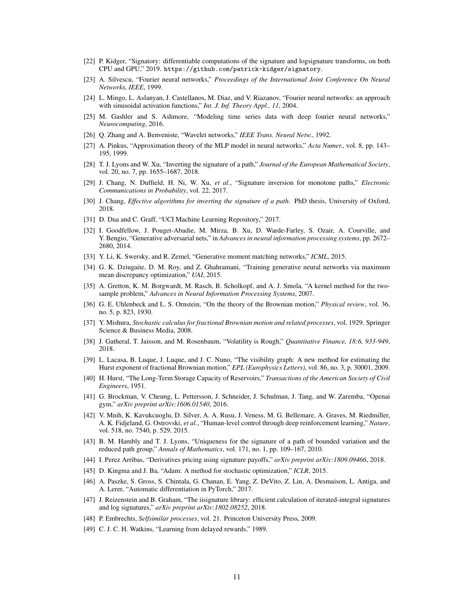- <span id="page-10-0"></span>[22] P. Kidger, "Signatory: differentiable computations of the signature and logsignature transforms, on both CPU and GPU," 2019. https://github.com/patrick-kidger/signatory.
- <span id="page-10-1"></span>[23] A. Silvescu, "Fourier neural networks," *Proceedings of the International Joint Conference On Neural Networks, IEEE*, 1999.
- <span id="page-10-2"></span>[24] L. Mingo, L. Aslanyan, J. Castellanos, M. Diaz, and V. Riazanov, "Fourier neural networks: an approach with sinusoidal activation functions," *Int. J. Inf. Theory Appl., 11*, 2004.
- <span id="page-10-3"></span>[25] M. Gashler and S. Ashmore, "Modeling time series data with deep fourier neural networks," *Neurocomputing*, 2016.
- <span id="page-10-4"></span>[26] Q. Zhang and A. Benveniste, "Wavelet networks," *IEEE Trans. Neural Netw.*, 1992.
- <span id="page-10-5"></span>[27] A. Pinkus, "Approximation theory of the MLP model in neural networks," *Acta Numer.*, vol. 8, pp. 143– 195, 1999.
- <span id="page-10-6"></span>[28] T. J. Lyons and W. Xu, "Inverting the signature of a path," *Journal of the European Mathematical Society*, vol. 20, no. 7, pp. 1655–1687, 2018.
- <span id="page-10-7"></span>[29] J. Chang, N. Duffield, H. Ni, W. Xu, *et al.*, "Signature inversion for monotone paths," *Electronic Communications in Probability*, vol. 22, 2017.
- <span id="page-10-8"></span>[30] J. Chang, *Effective algorithms for inverting the signature of a path*. PhD thesis, University of Oxford, 2018.
- <span id="page-10-9"></span>[31] D. Dua and C. Graff, "UCI Machine Learning Repository," 2017.
- <span id="page-10-10"></span>[32] I. Goodfellow, J. Pouget-Abadie, M. Mirza, B. Xu, D. Warde-Farley, S. Ozair, A. Courville, and Y. Bengio, "Generative adversarial nets," in *Advances in neural information processing systems*, pp. 2672– 2680, 2014.
- <span id="page-10-11"></span>[33] Y. Li, K. Swersky, and R. Zemel, "Generative moment matching networks," *ICML*, 2015.
- <span id="page-10-12"></span>[34] G. K. Dziugaite, D. M. Roy, and Z. Ghahramani, "Training generative neural networks via maximum mean discrepancy optimization," *UAI*, 2015.
- <span id="page-10-13"></span>[35] A. Gretton, K. M. Borgwardt, M. Rasch, B. Scholkopf, and A. J. Smola, "A kernel method for the twosample problem," *Advances in Neural Information Processing Systems*, 2007.
- <span id="page-10-14"></span>[36] G. E. Uhlenbeck and L. S. Ornstein, "On the theory of the Brownian motion," *Physical review*, vol. 36, no. 5, p. 823, 1930.
- <span id="page-10-15"></span>[37] Y. Mishura, *Stochastic calculus for fractional Brownian motion and related processes*, vol. 1929. Springer Science & Business Media, 2008.
- <span id="page-10-16"></span>[38] J. Gatheral, T. Jaisson, and M. Rosenbaum, "Volatility is Rough," *Quantitative Finance, 18:6, 933-949*, 2018.
- <span id="page-10-17"></span>[39] L. Lacasa, B. Luque, J. Luque, and J. C. Nuno, "The visibility graph: A new method for estimating the Hurst exponent of fractional Brownian motion," *EPL (Europhysics Letters)*, vol. 86, no. 3, p. 30001, 2009.
- <span id="page-10-18"></span>[40] H. Hurst, "The Long-Term Storage Capacity of Reservoirs," *Transactions of the American Society of Civil Engineers*, 1951.
- <span id="page-10-19"></span>[41] G. Brockman, V. Cheung, L. Pettersson, J. Schneider, J. Schulman, J. Tang, and W. Zaremba, "Openai gym," *arXiv preprint arXiv:1606.01540*, 2016.
- <span id="page-10-20"></span>[42] V. Mnih, K. Kavukcuoglu, D. Silver, A. A. Rusu, J. Veness, M. G. Bellemare, A. Graves, M. Riedmiller, A. K. Fidjeland, G. Ostrovski, *et al.*, "Human-level control through deep reinforcement learning," *Nature*, vol. 518, no. 7540, p. 529, 2015.
- <span id="page-10-21"></span>[43] B. M. Hambly and T. J. Lyons, "Uniqueness for the signature of a path of bounded variation and the reduced path group," *Annals of Mathematics*, vol. 171, no. 1, pp. 109–167, 2010.
- <span id="page-10-22"></span>[44] I. Perez Arribas, "Derivatives pricing using signature payoffs," *arXiv preprint arXiv:1809.09466*, 2018.
- <span id="page-10-23"></span>[45] D. Kingma and J. Ba, "Adam: A method for stochastic optimization," *ICLR*, 2015.
- <span id="page-10-24"></span>[46] A. Paszke, S. Gross, S. Chintala, G. Chanan, E. Yang, Z. DeVito, Z. Lin, A. Desmaison, L. Antiga, and A. Lerer, "Automatic differentiation in PyTorch," 2017.
- <span id="page-10-25"></span>[47] J. Reizenstein and B. Graham, "The iisignature library: efficient calculation of iterated-integral signatures and log signatures," *arXiv preprint arXiv:1802.08252*, 2018.
- <span id="page-10-26"></span>[48] P. Embrechts, *Selfsimilar processes*, vol. 21. Princeton University Press, 2009.
- <span id="page-10-27"></span>[49] C. J. C. H. Watkins, "Learning from delayed rewards," 1989.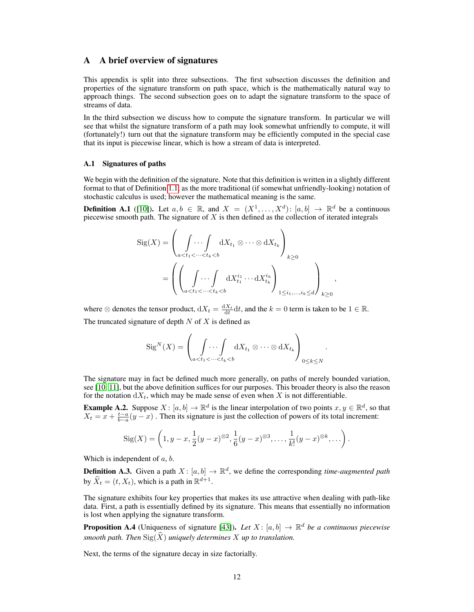# <span id="page-11-1"></span>A A brief overview of signatures

This appendix is split into three subsections. The first subsection discusses the definition and properties of the signature transform on path space, which is the mathematically natural way to approach things. The second subsection goes on to adapt the signature transform to the space of streams of data.

In the third subsection we discuss how to compute the signature transform. In particular we will see that whilst the signature transform of a path may look somewhat unfriendly to compute, it will (fortunately!) turn out that the signature transform may be efficiently computed in the special case that its input is piecewise linear, which is how a stream of data is interpreted.

### A.1 Signatures of paths

We begin with the definition of the signature. Note that this definition is written in a slightly different format to that of Definition [1.1,](#page-0-1) as the more traditional (if somewhat unfriendly-looking) notation of stochastic calculus is used; however the mathematical meaning is the same.

<span id="page-11-0"></span>**Definition A.1** ([\[10\]](#page-9-9)). Let  $a, b \in \mathbb{R}$ , and  $X = (X^1, \ldots, X^d)$ :  $[a, b] \to \mathbb{R}^d$  be a continuous piecewise smooth path. The signature of  $X$  is then defined as the collection of iterated integrals

$$
Sig(X) = \left(\int_{a < t_1 < \dots < t_k < b} dX_{t_1} \otimes \dots \otimes dX_{t_k}\right)_{k \ge 0}
$$

$$
= \left(\left(\int_{a < t_1 < \dots < t_k < b} dX_{t_1}^{i_1} \dots dX_{t_k}^{i_k}\right)_{1 \le i_1, \dots, i_k \le d}\right)_{k \ge 0}
$$

,

.

where  $\otimes$  denotes the tensor product,  $dX_t = \frac{dX_t}{dt} dt$ , and the  $k = 0$  term is taken to be  $1 \in \mathbb{R}$ . The truncated signature of depth  $N$  of  $X$  is defined as

$$
Sig^{N}(X) = \left(\int_{a < t_1 < \dots < t_k < b} dX_{t_1} \otimes \dots \otimes dX_{t_k}\right)_{0 \leq k \leq N}
$$

The signature may in fact be defined much more generally, on paths of merely bounded variation, see [\[10,](#page-9-9) [11\]](#page-9-10), but the above definition suffices for our purposes. This broader theory is also the reason for the notation  $dX_t$ , which may be made sense of even when X is not differentiable.

<span id="page-11-2"></span>**Example A.2.** Suppose  $X: [a, b] \to \mathbb{R}^d$  is the linear interpolation of two points  $x, y \in \mathbb{R}^d$ , so that  $X_t = x + \frac{t-a}{b-a}(y-x)$ . Then its signature is just the collection of powers of its total increment:

$$
Sig(X) = \left(1, y-x, \frac{1}{2}(y-x)^{\otimes 2}, \frac{1}{6}(y-x)^{\otimes 3}, \ldots, \frac{1}{k!}(y-x)^{\otimes k}, \ldots\right).
$$

Which is independent of  $a, b$ .

**Definition A.3.** Given a path  $X: [a, b] \to \mathbb{R}^d$ , we define the corresponding *time-augmented path* by  $\widehat{X}_t = (t, X_t)$ , which is a path in  $\mathbb{R}^{d+1}$ .

The signature exhibits four key properties that makes its use attractive when dealing with path-like data. First, a path is essentially defined by its signature. This means that essentially no information is lost when applying the signature transform.

**Proposition A.4** (Uniqueness of signature [\[43\]](#page-10-21)). Let  $X$ :  $[a, b] \rightarrow \mathbb{R}^d$  be a continuous piecewise *smooth path. Then*  $\text{Sig}(\widehat{X})$  *uniquely determines* X *up to translation.* 

Next, the terms of the signature decay in size factorially.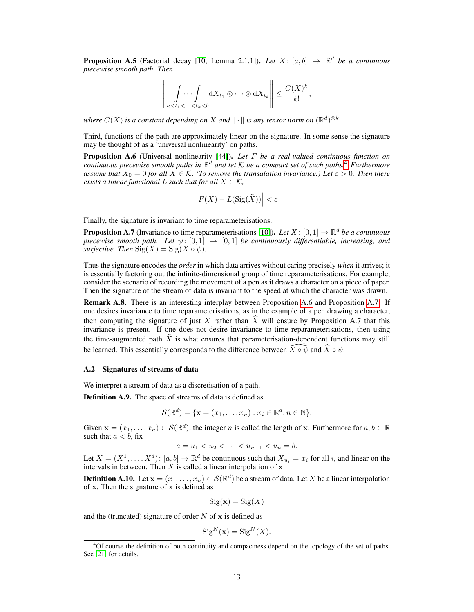<span id="page-12-1"></span>**Proposition A.5** (Factorial decay [\[10,](#page-9-9) Lemma 2.1.1]). Let  $X: [a, b] \rightarrow \mathbb{R}^d$  be a continuous *piecewise smooth path. Then*

$$
\left\|\,\int\limits_{a
$$

where  $C(X)$  is a constant depending on  $X$  and  $\|\cdot\|$  is any tensor norm on  $(\mathbb{R}^d)^{\otimes k}$ .

Third, functions of the path are approximately linear on the signature. In some sense the signature may be thought of as a 'universal nonlinearity' on paths.

<span id="page-12-2"></span>Proposition A.6 (Universal nonlinearity [\[44\]](#page-10-22)). *Let* F *be a real-valued continuous function on continuous piecewise smooth paths in* R <sup>d</sup> *and let* K *be a compact set of such paths.*[4](#page-12-3) *Furthermore assume that*  $X_0 = 0$  *for all*  $X \in \mathcal{K}$ *. (To remove the transalation invariance.)* Let  $\varepsilon > 0$ *. Then there exists a linear functional L such that for all*  $X \in \mathcal{K}$ *,* 

$$
\left| F(X) - L(\operatorname{Sig}(\widehat{X})) \right| < \varepsilon
$$

Finally, the signature is invariant to time reparameterisations.

<span id="page-12-0"></span>**Proposition A.7** (Invariance to time reparameterisations [\[10\]](#page-9-9)). Let  $X : [0,1] \to \mathbb{R}^d$  be a continuous *piecewise smooth path.* Let  $\psi$ :  $[0,1] \rightarrow [0,1]$  *be continuously differentiable, increasing, and surjective. Then*  $\text{Sig}(X) = \text{Sig}(X \circ \psi)$ *.* 

Thus the signature encodes the *order* in which data arrives without caring precisely *when* it arrives; it is essentially factoring out the infinite-dimensional group of time reparameterisations. For example, consider the scenario of recording the movement of a pen as it draws a character on a piece of paper. Then the signature of the stream of data is invariant to the speed at which the character was drawn.

Remark A.8. There is an interesting interplay between Proposition [A.6](#page-12-2) and Proposition [A.7.](#page-12-0) If one desires invariance to time reparameterisations, as in the example of a pen drawing a character, then computing the signature of just X rather than  $\hat{X}$  will ensure by Proposition [A.7](#page-12-0) that this invariance is present. If one does not desire invariance to time reparameterisations, then using the time-augmented path  $\hat{X}$  is what ensures that parameterisation-dependent functions may still be learned. This essentially corresponds to the difference between  $\widehat{X\circ \psi}$  and  $\widehat{X}\circ \psi$ .

## A.2 Signatures of streams of data

We interpret a stream of data as a discretisation of a path.

Definition A.9. The space of streams of data is defined as

$$
\mathcal{S}(\mathbb{R}^d) = \{ \mathbf{x} = (x_1, \dots, x_n) : x_i \in \mathbb{R}^d, n \in \mathbb{N} \}.
$$

Given  $\mathbf{x} = (x_1, \dots, x_n) \in \mathcal{S}(\mathbb{R}^d)$ , the integer n is called the length of x. Furthermore for  $a, b \in \mathbb{R}$ such that  $a < b$ , fix

$$
a = u_1 < u_2 < \cdots < u_{n-1} < u_n = b.
$$

Let  $X = (X^1, \dots, X^d)$ :  $[a, b] \to \mathbb{R}^d$  be continuous such that  $X_{u_i} = x_i$  for all i, and linear on the intervals in between. Then  $X$  is called a linear interpolation of  $x$ .

<span id="page-12-4"></span>**Definition A.10.** Let  $\mathbf{x} = (x_1, \dots, x_n) \in \mathcal{S}(\mathbb{R}^d)$  be a stream of data. Let X be a linear interpolation of  $x$ . Then the signature of  $x$  is defined as

$$
Sig(\mathbf{x}) = Sig(X)
$$

and the (truncated) signature of order  $N$  of  $x$  is defined as

$$
Sig^N(\mathbf{x}) = Sig^N(X).
$$

<span id="page-12-3"></span><sup>4</sup>Of course the definition of both continuity and compactness depend on the topology of the set of paths. See [\[21\]](#page-9-20) for details.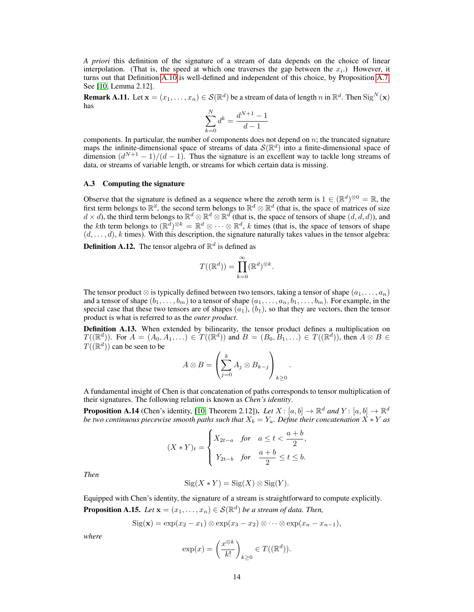*A priori* this definition of the signature of a stream of data depends on the choice of linear interpolation. (That is, the speed at which one traverses the gap between the  $x_i$ .) However, it turns out that Definition [A.10](#page-12-4) is well-defined and independent of this choice, by Proposition [A.7.](#page-12-0) See [\[10,](#page-9-9) Lemma 2.12].

**Remark A.11.** Let  $\mathbf{x} = (x_1, \dots, x_n) \in \mathcal{S}(\mathbb{R}^d)$  be a stream of data of length  $n$  in  $\mathbb{R}^d$ . Then  $\text{Sig}^N(\mathbf{x})$ has

$$
\sum_{k=0}^{N} d^k = \frac{d^{N+1} - 1}{d - 1}
$$

components. In particular, the number of components does not depend on  $n$ ; the truncated signature maps the infinite-dimensional space of streams of data  $\mathcal{S}(\mathbb{R}^d)$  into a finite-dimensional space of dimension  $\left(\frac{d^{N+1}-1}{d-1}\right)$ . Thus the signature is an excellent way to tackle long streams of data, or streams of variable length, or streams for which certain data is missing.

### <span id="page-13-0"></span>A.3 Computing the signature

Observe that the signature is defined as a sequence where the zeroth term is  $1 \in (\mathbb{R}^d)^{\otimes 0} = \mathbb{R}$ , the first term belongs to  $\mathbb{R}^d$ , the second term belongs to  $\mathbb{R}^d \otimes \mathbb{R}^d$  (that is, the space of matrices of size  $d \times d$ ), the third term belongs to  $\mathbb{R}^d \otimes \mathbb{R}^d \otimes \mathbb{R}^d$  (that is, the space of tensors of shape  $(d, d, d)$ ), and the kth term belongs to  $(\mathbb{R}^d)^{\otimes k} = \mathbb{R}^d \otimes \cdots \otimes \mathbb{R}^d$ , k times (that is, the space of tensors of shape  $(d, \ldots, d)$ , k times). With this description, the signature naturally takes values in the tensor algebra:

**Definition A.12.** The tensor algebra of  $\mathbb{R}^d$  is defined as

$$
T((\mathbb{R}^d)) = \prod_{k=0}^{\infty} (\mathbb{R}^d)^{\otimes k}.
$$

The tensor product  $\otimes$  is typically defined between two tensors, taking a tensor of shape  $(a_1, \ldots, a_n)$ and a tensor of shape  $(b_1, \ldots, b_m)$  to a tensor of shape  $(a_1, \ldots, a_n, b_1, \ldots, b_m)$ . For example, in the special case that these two tensors are of shapes  $(a_1)$ ,  $(b_1)$ , so that they are vectors, then the tensor product is what is referred to as the *outer product*.

<span id="page-13-1"></span>**Definition A.13.** When extended by bilinearity, the tensor product defines a multiplication on  $T((\mathbb{R}^d))$ . For  $A = (A_0, A_1, \ldots) \in T((\mathbb{R}^d))$  and  $B = (B_0, B_1, \ldots) \in T((\mathbb{R}^d))$ , then  $A \otimes B \in$  $T(\mathbb{R}^d)$  can be seen to be

$$
A \otimes B = \left(\sum_{j=0}^{k} A_j \otimes B_{k-j}\right)_{k \ge 0}
$$

.

A fundamental insight of Chen is that concatenation of paths corresponds to tensor multiplication of their signatures. The following relation is known as *Chen's identity*.

**Proposition A.14** (Chen's identity, [\[10,](#page-9-9) Theorem 2.12]). Let  $X: [a, b] \to \mathbb{R}^d$  and  $Y: [a, b] \to \mathbb{R}^d$ *be two continuous piecewise smooth paths such that*  $X_b = Y_a$ *. Define their concatenation*  $X * Y$  *as* 

$$
(X \ast Y)_t = \begin{cases} X_{2t-a} & \text{for} \quad a \le t < \frac{a+b}{2}, \\ Y_{2t-b} & \text{for} \quad \frac{a+b}{2} \le t \le b. \end{cases}
$$

*Then*

$$
Sig(X * Y) = Sig(X) \otimes Sig(Y).
$$

Equipped with Chen's identity, the signature of a stream is straightforward to compute explicitly.

<span id="page-13-2"></span>**Proposition A.15.** *Let*  $\mathbf{x} = (x_1, \dots, x_n) \in \mathcal{S}(\mathbb{R}^d)$  *be a stream of data. Then,* 

$$
Sig(\mathbf{x}) = exp(x_2 - x_1) \otimes exp(x_3 - x_2) \otimes \cdots \otimes exp(x_n - x_{n-1}),
$$

*where*

$$
\exp(x) = \left(\frac{x^{\otimes k}}{k!}\right)_{k \ge 0} \in T((\mathbb{R}^d)).
$$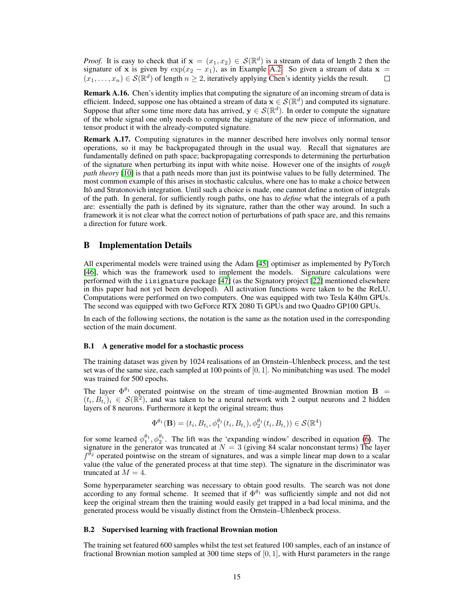*Proof.* It is easy to check that if  $\mathbf{x} = (x_1, x_2) \in \mathcal{S}(\mathbb{R}^d)$  is a stream of data of length 2 then the signature of x is given by  $exp(x_2 - x_1)$ , as in Example [A.2.](#page-11-2) So given a stream of data x =  $(x_1,\ldots,x_n)\in \mathcal{S}(\mathbb{R}^d)$  of length  $n\geq 2$ , iteratively applying Chen's identity yields the result.  $\Box$ 

Remark A.16. Chen's identity implies that computing the signature of an incoming stream of data is efficient. Indeed, suppose one has obtained a stream of data  $\mathbf{x} \in \mathcal{S}(\mathbb{R}^d)$  and computed its signature. Suppose that after some time more data has arrived,  $y \in S(\mathbb{R}^d)$ . In order to compute the signature of the whole signal one only needs to compute the signature of the new piece of information, and tensor product it with the already-computed signature.

Remark A.17. Computing signatures in the manner described here involves only normal tensor operations, so it may be backpropagated through in the usual way. Recall that signatures are fundamentally defined on path space; backpropagating corresponds to determining the perturbation of the signature when perturbing its input with white noise. However one of the insights of *rough path theory* [\[10\]](#page-9-9) is that a path needs more than just its pointwise values to be fully determined. The most common example of this arises in stochastic calculus, where one has to make a choice between Itô and Stratonovich integration. Until such a choice is made, one cannot define a notion of integrals of the path. In general, for sufficiently rough paths, one has to *define* what the integrals of a path are: essentially the path is defined by its signature, rather than the other way around. In such a framework it is not clear what the correct notion of perturbations of path space are, and this remains a direction for future work.

## <span id="page-14-0"></span>B Implementation Details

All experimental models were trained using the Adam [\[45\]](#page-10-23) optimiser as implemented by PyTorch [\[46\]](#page-10-24), which was the framework used to implement the models. Signature calculations were performed with the iisignature package [\[47\]](#page-10-25) (as the Signatory project [\[22\]](#page-10-0) mentioned elsewhere in this paper had not yet been developed). All activation functions were taken to be the ReLU. Computations were performed on two computers. One was equipped with two Tesla K40m GPUs. The second was equipped with two GeForce RTX 2080 Ti GPUs and two Quadro GP100 GPUs.

In each of the following sections, the notation is the same as the notation used in the corresponding section of the main document.

#### B.1 A generative model for a stochastic process

The training dataset was given by 1024 realisations of an Ornstein–Uhlenbeck process, and the test set was of the same size, each sampled at 100 points of  $[0, 1]$ . No minibatching was used. The model was trained for 500 epochs.

The layer  $\Phi^{\theta_1}$  operated pointwise on the stream of time-augmented Brownian motion B =  $(t_i, B_{t_i})_i \in S(\mathbb{R}^2)$ , and was taken to be a neural network with 2 output neurons and 2 hidden layers of 8 neurons. Furthermore it kept the original stream; thus

$$
\Phi^{\theta_1}(\mathbf{B}) = (t_i, B_{t_i}, \phi_1^{\theta_1}(t_i, B_{t_i}), \phi_2^{\theta_1}(t_i, B_{t_i})) \in \mathcal{S}(\mathbb{R}^4)
$$

for some learned  $\phi_1^{\theta_1}, \phi_2^{\theta_1}$ . The lift was the 'expanding window' described in equation [\(6\)](#page-4-0). The signature in the generator was truncated at  $N = 3$  (giving 84 scalar nonconstant terms) The layer  $f^{\bar{\theta}_2}$  operated pointwise on the stream of signatures, and was a simple linear map down to a scalar value (the value of the generated process at that time step). The signature in the discriminator was truncated at  $M = 4$ .

Some hyperparameter searching was necessary to obtain good results. The search was not done according to any formal scheme. It seemed that if  $\Phi^{\theta_1}$  was sufficiently simple and not did not keep the original stream then the training would easily get trapped in a bad local minima, and the generated process would be visually distinct from the Ornstein–Uhlenbeck process.

## B.2 Supervised learning with fractional Brownian motion

The training set featured 600 samples whilst the test set featured 100 samples, each of an instance of fractional Brownian motion sampled at 300 time steps of [0, 1], with Hurst parameters in the range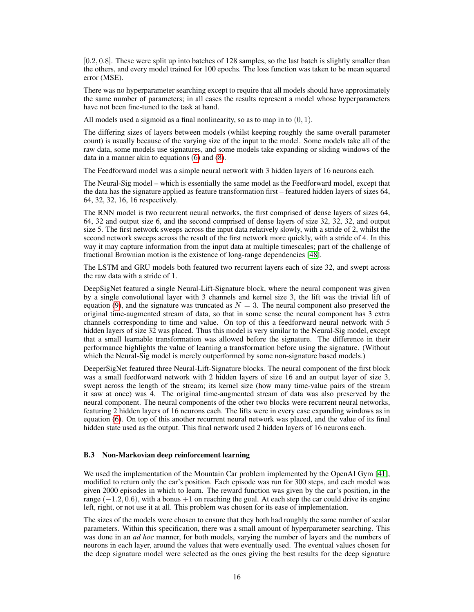[0.2, 0.8]. These were split up into batches of 128 samples, so the last batch is slightly smaller than the others, and every model trained for 100 epochs. The loss function was taken to be mean squared error (MSE).

There was no hyperparameter searching except to require that all models should have approximately the same number of parameters; in all cases the results represent a model whose hyperparameters have not been fine-tuned to the task at hand.

All models used a sigmoid as a final nonlinearity, so as to map in to  $(0, 1)$ .

The differing sizes of layers between models (whilst keeping roughly the same overall parameter count) is usually because of the varying size of the input to the model. Some models take all of the raw data, some models use signatures, and some models take expanding or sliding windows of the data in a manner akin to equations [\(6\)](#page-4-0) and [\(8\)](#page-4-1).

The Feedforward model was a simple neural network with 3 hidden layers of 16 neurons each.

The Neural-Sig model – which is essentially the same model as the Feedforward model, except that the data has the signature applied as feature transformation first – featured hidden layers of sizes 64, 64, 32, 32, 16, 16 respectively.

The RNN model is two recurrent neural networks, the first comprised of dense layers of sizes 64, 64, 32 and output size 6, and the second comprised of dense layers of size 32, 32, 32, and output size 5. The first network sweeps across the input data relatively slowly, with a stride of 2, whilst the second network sweeps across the result of the first network more quickly, with a stride of 4. In this way it may capture information from the input data at multiple timescales; part of the challenge of fractional Brownian motion is the existence of long-range dependencies [\[48\]](#page-10-26).

The LSTM and GRU models both featured two recurrent layers each of size 32, and swept across the raw data with a stride of 1.

DeepSigNet featured a single Neural-Lift-Signature block, where the neural component was given by a single convolutional layer with 3 channels and kernel size 3, the lift was the trivial lift of equation [\(9\)](#page-4-4), and the signature was truncated as  $N = 3$ . The neural component also preserved the original time-augmented stream of data, so that in some sense the neural component has 3 extra channels corresponding to time and value. On top of this a feedforward neural network with 5 hidden layers of size 32 was placed. Thus this model is very similar to the Neural-Sig model, except that a small learnable transformation was allowed before the signature. The difference in their performance highlights the value of learning a transformation before using the signature. (Without which the Neural-Sig model is merely outperformed by some non-signature based models.)

DeeperSigNet featured three Neural-Lift-Signature blocks. The neural component of the first block was a small feedforward network with 2 hidden layers of size 16 and an output layer of size 3, swept across the length of the stream; its kernel size (how many time-value pairs of the stream it saw at once) was 4. The original time-augmented stream of data was also preserved by the neural component. The neural components of the other two blocks were recurrent neural networks, featuring 2 hidden layers of 16 neurons each. The lifts were in every case expanding windows as in equation [\(6\)](#page-4-0). On top of this another recurrent neural network was placed, and the value of its final hidden state used as the output. This final network used 2 hidden layers of 16 neurons each.

### B.3 Non-Markovian deep reinforcement learning

We used the implementation of the Mountain Car problem implemented by the OpenAI Gym [\[41\]](#page-10-19), modified to return only the car's position. Each episode was run for 300 steps, and each model was given 2000 episodes in which to learn. The reward function was given by the car's position, in the range  $(-1.2, 0.6)$ , with a bonus  $+1$  on reaching the goal. At each step the car could drive its engine left, right, or not use it at all. This problem was chosen for its ease of implementation.

The sizes of the models were chosen to ensure that they both had roughly the same number of scalar parameters. Within this specification, there was a small amount of hyperparameter searching. This was done in an *ad hoc* manner, for both models, varying the number of layers and the numbers of neurons in each layer, around the values that were eventually used. The eventual values chosen for the deep signature model were selected as the ones giving the best results for the deep signature